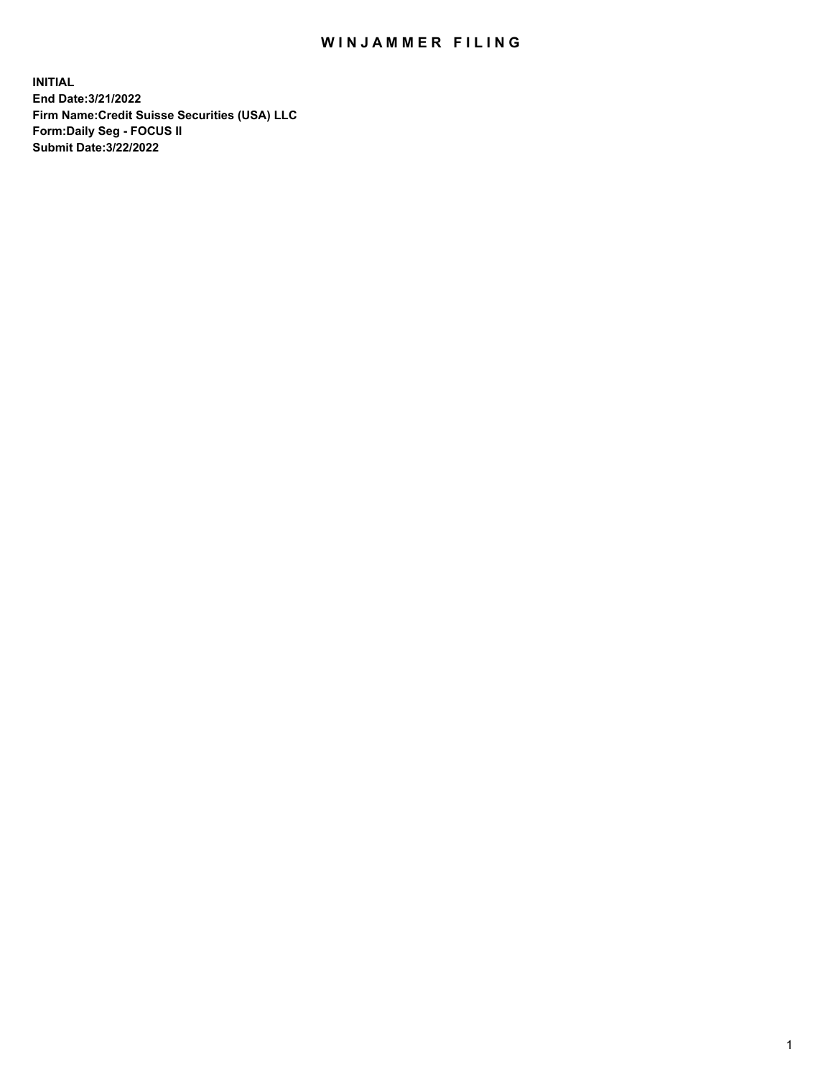## WIN JAMMER FILING

**INITIAL End Date:3/21/2022 Firm Name:Credit Suisse Securities (USA) LLC Form:Daily Seg - FOCUS II Submit Date:3/22/2022**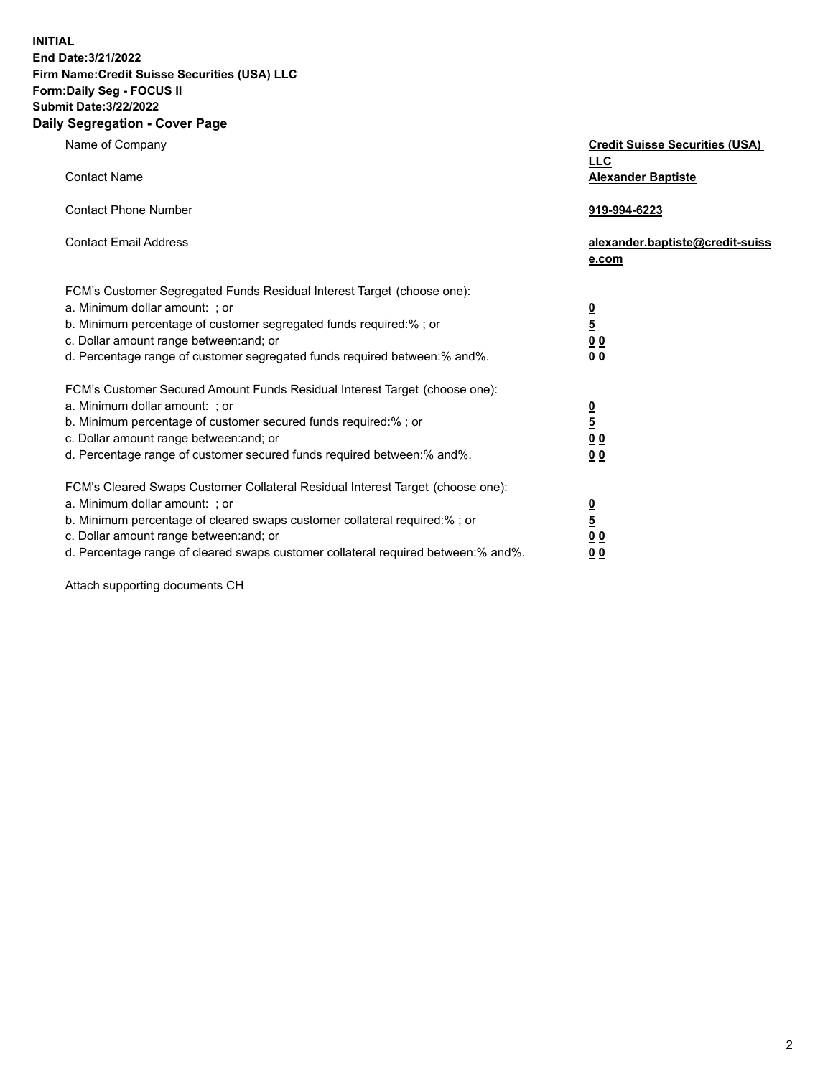**INITIAL End Date:3/21/2022** 

## **Firm Name:Credit Suisse Securities (USA) LLC Form:Daily Seg - FOCUS II Submit Date:3/22/2022**

## **Daily Segregation - Cover Page**

| Name of Company                                                                                                       | <b>Credit Suisse Securities (USA)</b><br><b>LLC</b> |
|-----------------------------------------------------------------------------------------------------------------------|-----------------------------------------------------|
| <b>Contact Name</b>                                                                                                   | <b>Alexander Baptiste</b>                           |
| <b>Contact Phone Number</b>                                                                                           | 919-994-6223                                        |
| <b>Contact Email Address</b>                                                                                          | alexander.baptiste@credit-suiss<br>e.com            |
| FCM's Customer Segregated Funds Residual Interest Target (choose one):                                                |                                                     |
| a. Minimum dollar amount: ; or                                                                                        |                                                     |
| b. Minimum percentage of customer segregated funds required:%; or                                                     | $\frac{\frac{0}{5}}{\frac{0}{0}}$                   |
| c. Dollar amount range between: and; or                                                                               |                                                     |
| d. Percentage range of customer segregated funds required between: % and %.                                           | 0 <sub>0</sub>                                      |
| FCM's Customer Secured Amount Funds Residual Interest Target (choose one):                                            |                                                     |
| a. Minimum dollar amount: ; or                                                                                        | $\frac{0}{5}$                                       |
| b. Minimum percentage of customer secured funds required:%; or                                                        |                                                     |
| c. Dollar amount range between: and; or                                                                               | $\underline{0}$ $\underline{0}$                     |
| d. Percentage range of customer secured funds required between:% and%.                                                | 0 <sub>0</sub>                                      |
| FCM's Cleared Swaps Customer Collateral Residual Interest Target (choose one):                                        |                                                     |
| a. Minimum dollar amount: ; or                                                                                        | $\frac{0}{5}$                                       |
| b. Minimum percentage of cleared swaps customer collateral required:% ; or<br>c. Dollar amount range between: and; or |                                                     |
| d. Percentage range of cleared swaps customer collateral required between:% and%.                                     | 0 <sub>0</sub><br>0 <sub>0</sub>                    |
|                                                                                                                       |                                                     |

Attach supporting documents CH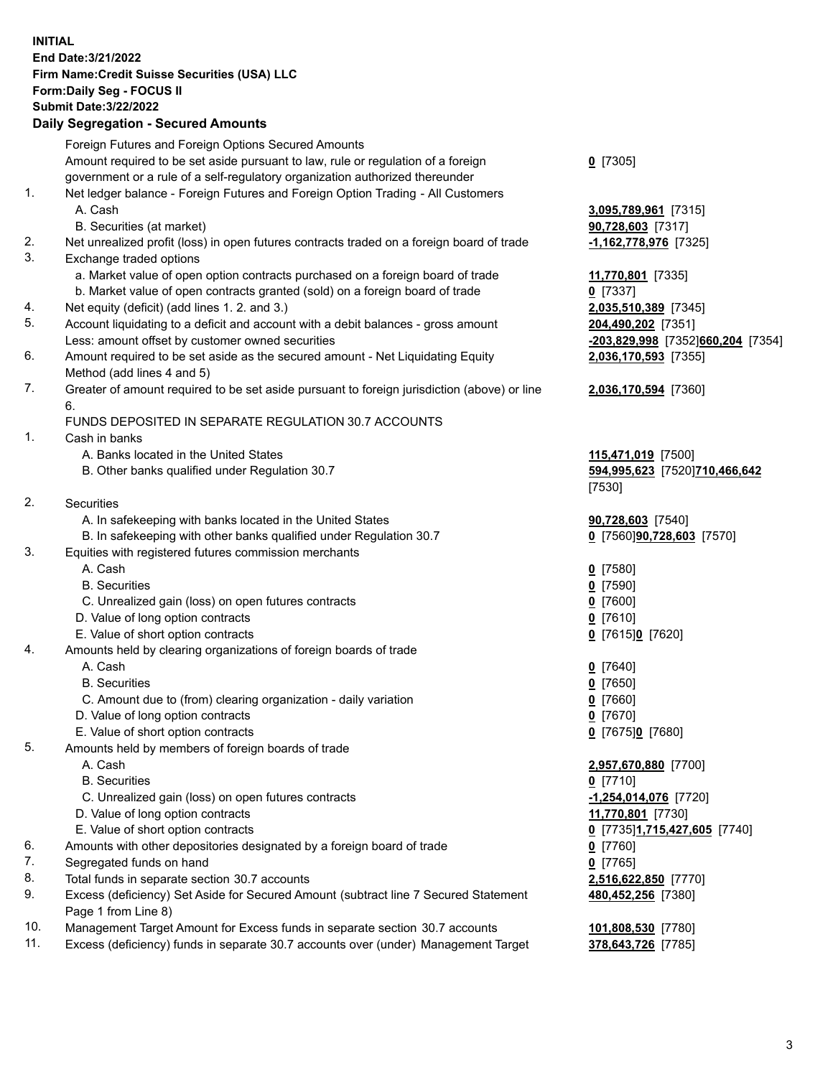**INITIAL End Date:3/21/2022 Firm Name:Credit Suisse Securities (USA) LLC Form:Daily Seg - FOCUS II Submit Date:3/22/2022** 

## **Daily Segregation - Secured Amounts**

|     | Foreign Futures and Foreign Options Secured Amounts                                         |                                   |
|-----|---------------------------------------------------------------------------------------------|-----------------------------------|
|     | Amount required to be set aside pursuant to law, rule or regulation of a foreign            | $0$ [7305]                        |
|     | government or a rule of a self-regulatory organization authorized thereunder                |                                   |
| 1.  | Net ledger balance - Foreign Futures and Foreign Option Trading - All Customers             |                                   |
|     | A. Cash                                                                                     | 3,095,789,961 [7315]              |
|     | B. Securities (at market)                                                                   | 90,728,603 [7317]                 |
| 2.  | Net unrealized profit (loss) in open futures contracts traded on a foreign board of trade   | -1,162,778,976 [7325]             |
| 3.  | Exchange traded options                                                                     |                                   |
|     | a. Market value of open option contracts purchased on a foreign board of trade              | 11,770,801 [7335]                 |
|     | b. Market value of open contracts granted (sold) on a foreign board of trade                | $0$ [7337]                        |
| 4.  | Net equity (deficit) (add lines 1. 2. and 3.)                                               | 2,035,510,389 [7345]              |
| 5.  | Account liquidating to a deficit and account with a debit balances - gross amount           | 204,490,202 [7351]                |
|     | Less: amount offset by customer owned securities                                            | -203,829,998 [7352]660,204 [7354] |
| 6.  | Amount required to be set aside as the secured amount - Net Liquidating Equity              | 2,036,170,593 [7355]              |
|     | Method (add lines 4 and 5)                                                                  |                                   |
| 7.  | Greater of amount required to be set aside pursuant to foreign jurisdiction (above) or line | 2,036,170,594 [7360]              |
|     | 6.                                                                                          |                                   |
|     | FUNDS DEPOSITED IN SEPARATE REGULATION 30.7 ACCOUNTS                                        |                                   |
| 1.  | Cash in banks                                                                               |                                   |
|     | A. Banks located in the United States                                                       | 115,471,019 [7500]                |
|     | B. Other banks qualified under Regulation 30.7                                              | 594,995,623 [7520]710,466,642     |
|     |                                                                                             | [7530]                            |
| 2.  | Securities                                                                                  |                                   |
|     | A. In safekeeping with banks located in the United States                                   | 90,728,603 [7540]                 |
|     | B. In safekeeping with other banks qualified under Regulation 30.7                          | 0 [7560]90,728,603 [7570]         |
| 3.  | Equities with registered futures commission merchants                                       |                                   |
|     | A. Cash                                                                                     | $0$ [7580]                        |
|     | <b>B.</b> Securities                                                                        | $0$ [7590]                        |
|     | C. Unrealized gain (loss) on open futures contracts                                         | $Q$ [7600]                        |
|     | D. Value of long option contracts                                                           | $0$ [7610]                        |
|     | E. Value of short option contracts                                                          | 0 [7615]0 [7620]                  |
| 4.  | Amounts held by clearing organizations of foreign boards of trade                           |                                   |
|     | A. Cash                                                                                     | $0$ [7640]                        |
|     | <b>B.</b> Securities                                                                        | $0$ [7650]                        |
|     | C. Amount due to (from) clearing organization - daily variation                             | $0$ [7660]                        |
|     | D. Value of long option contracts                                                           | $0$ [7670]                        |
|     | E. Value of short option contracts                                                          | 0 [7675]0 [7680]                  |
| 5.  | Amounts held by members of foreign boards of trade                                          |                                   |
|     | A. Cash                                                                                     | 2,957,670,880 [7700]              |
|     | <b>B.</b> Securities                                                                        | $0$ [7710]                        |
|     | C. Unrealized gain (loss) on open futures contracts                                         | $-1,254,014,076$ [7720]           |
|     | D. Value of long option contracts                                                           | 11,770,801 [7730]                 |
|     | E. Value of short option contracts                                                          | 0 [7735]1,715,427,605 [7740]      |
| 6.  | Amounts with other depositories designated by a foreign board of trade                      | $0$ [7760]                        |
| 7.  | Segregated funds on hand                                                                    | $0$ [7765]                        |
| 8.  | Total funds in separate section 30.7 accounts                                               | 2,516,622,850 [7770]              |
| 9.  | Excess (deficiency) Set Aside for Secured Amount (subtract line 7 Secured Statement         | 480,452,256 [7380]                |
|     | Page 1 from Line 8)                                                                         |                                   |
| 10. | Management Target Amount for Excess funds in separate section 30.7 accounts                 | 101,808,530 [7780]                |

11. Excess (deficiency) funds in separate 30.7 accounts over (under) Management Target **378,643,726** [7785]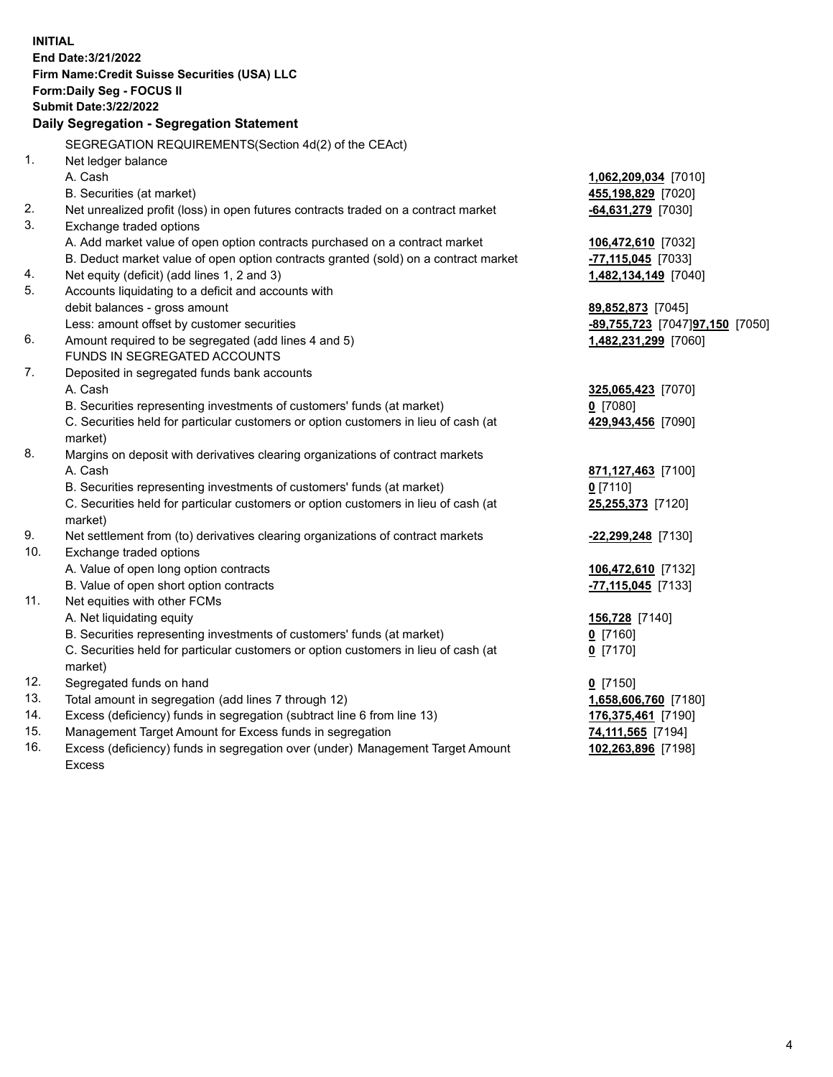15. Management Target Amount for Excess funds in segregation **74,111,565** [7194] **INITIAL End Date:3/21/2022 Firm Name:Credit Suisse Securities (USA) LLC Form:Daily Seg - FOCUS II Submit Date:3/22/2022 Daily Segregation - Segregation Statement**  SEGREGATION REQUIREMENTS(Section 4d(2) of the CEAct) 1. Net ledger balance A. Cash **1,062,209,034** [7010] B. Securities (at market) **455,198,829** [7020] 2. Net unrealized profit (loss) in open futures contracts traded on a contract market **-64,631,279** [7030] 3. Exchange traded options A. Add market value of open option contracts purchased on a contract market **106,472,610** [7032] B. Deduct market value of open option contracts granted (sold) on a contract market **-77,115,045** [7033] 4. Net equity (deficit) (add lines 1, 2 and 3) **1,482,134,149** [7040] 5. Accounts liquidating to a deficit and accounts with debit balances - gross amount **89,852,873** [7045] Less: amount offset by customer securities **-89,755,723** [7047] **97,150** [7050] 6. Amount required to be segregated (add lines 4 and 5) **1,482,231,299** [7060] FUNDS IN SEGREGATED ACCOUNTS 7. Deposited in segregated funds bank accounts A. Cash **325,065,423** [7070] B. Securities representing investments of customers' funds (at market) **0** [7080] C. Securities held for particular customers or option customers in lieu of cash (at **429,943,456** [7090] market) 8. Margins on deposit with derivatives clearing organizations of contract markets A. Cash **871,127,463** [7100] B. Securities representing investments of customers' funds (at market) **0** [7110] C. Securities held for particular customers or option customers in lieu of cash (at **25,255,373** [7120] market) 9. Net settlement from (to) derivatives clearing organizations of contract markets **-22,299,248** [7130] 10. Exchange traded options A. Value of open long option contracts **106,472,610** [7132] B. Value of open short option contracts **-77,115,045** [7133] 11. Net equities with other FCMs A. Net liquidating equity **156,728** [7140] B. Securities representing investments of customers' funds (at market) **0** [7160] C. Securities held for particular customers or option customers in lieu of cash (at **0** [7170] market) 12. Segregated funds on hand **0** [7150] 13. Total amount in segregation (add lines 7 through 12) **1,658,606,760** [7180] 14. Excess (deficiency) funds in segregation (subtract line 6 from line 13) **176,375,461** [7190]

 16. Excess (deficiency) funds in segregation over (under) Management Target Amount **102,263,896** [7198] Excess